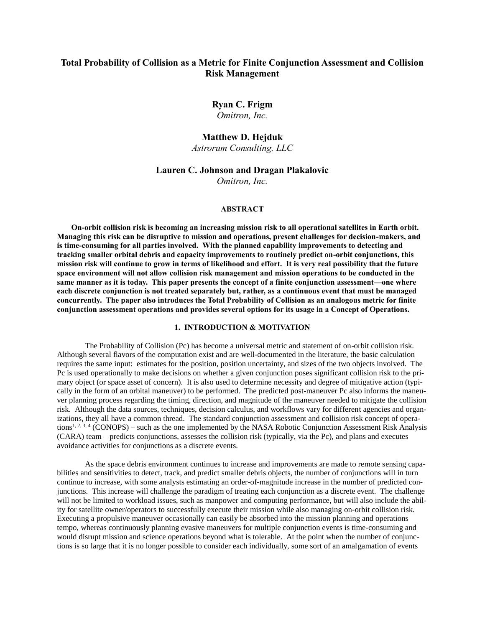# **Total Probability of Collision as a Metric for Finite Conjunction Assessment and Collision Risk Management**

**Ryan C. Frigm** *Omitron, Inc.*

## **Matthew D. Hejduk**

*Astrorum Consulting, LLC*

## **Lauren C. Johnson and Dragan Plakalovic**

*Omitron, Inc.*

#### **ABSTRACT**

**On-orbit collision risk is becoming an increasing mission risk to all operational satellites in Earth orbit. Managing this risk can be disruptive to mission and operations, present challenges for decision-makers, and is time-consuming for all parties involved. With the planned capability improvements to detecting and tracking smaller orbital debris and capacity improvements to routinely predict on-orbit conjunctions, this mission risk will continue to grow in terms of likelihood and effort. It is very real possibility that the future space environment will not allow collision risk management and mission operations to be conducted in the same manner as it is today. This paper presents the concept of a finite conjunction assessment—one where each discrete conjunction is not treated separately but, rather, as a continuous event that must be managed concurrently. The paper also introduces the Total Probability of Collision as an analogous metric for finite conjunction assessment operations and provides several options for its usage in a Concept of Operations.**

## **1. INTRODUCTION & MOTIVATION**

The Probability of Collision (Pc) has become a universal metric and statement of on-orbit collision risk. Although several flavors of the computation exist and are well-documented in the literature, the basic calculation requires the same input: estimates for the position, position uncertainty, and sizes of the two objects involved. The Pc is used operationally to make decisions on whether a given conjunction poses significant collision risk to the primary object (or space asset of concern). It is also used to determine necessity and degree of mitigative action (typically in the form of an orbital maneuver) to be performed. The predicted post-maneuver Pc also informs the maneuver planning process regarding the timing, direction, and magnitude of the maneuver needed to mitigate the collision risk. Although the data sources, techniques, decision calculus, and workflows vary for different agencies and organizations, they all have a common thread. The standard conjunction assessment and collision risk concept of operations<sup>1, 2, 3, 4</sup> (CONOPS) – such as the one implemented by the NASA Robotic Conjunction Assessment Risk Analysis (CARA) team – predicts conjunctions, assesses the collision risk (typically, via the Pc), and plans and executes avoidance activities for conjunctions as a discrete events.

As the space debris environment continues to increase and improvements are made to remote sensing capabilities and sensitivities to detect, track, and predict smaller debris objects, the number of conjunctions will in turn continue to increase, with some analysts estimating an order-of-magnitude increase in the number of predicted conjunctions. This increase will challenge the paradigm of treating each conjunction as a discrete event. The challenge will not be limited to workload issues, such as manpower and computing performance, but will also include the ability for satellite owner/operators to successfully execute their mission while also managing on-orbit collision risk. Executing a propulsive maneuver occasionally can easily be absorbed into the mission planning and operations tempo, whereas continuously planning evasive maneuvers for multiple conjunction events is time-consuming and would disrupt mission and science operations beyond what is tolerable. At the point when the number of conjunctions is so large that it is no longer possible to consider each individually, some sort of an amalgamation of events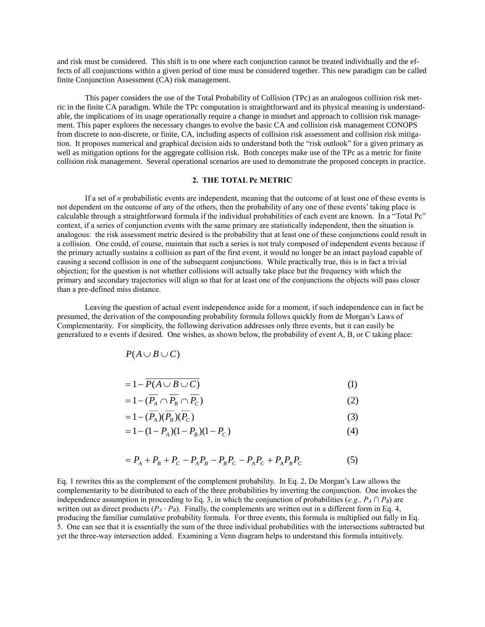and risk must be considered. This shift is to one where each conjunction cannot be treated individually and the effects of all conjunctions within a given period of time must be considered together. This new paradigm can be called finite Conjunction Assessment (CA) risk management.

This paper considers the use of the Total Probability of Collision (TPc) as an analogous collision risk metric in the finite CA paradigm. While the TPc computation is straightforward and its physical meaning is understandable, the implications of its usage operationally require a change in mindset and approach to collision risk management. This paper explores the necessary changes to evolve the basic CA and collision risk management CONOPS from discrete to non-discrete, or finite, CA, including aspects of collision risk assessment and collision risk mitigation. It proposes numerical and graphical decision aids to understand both the "risk outlook" for a given primary as well as mitigation options for the aggregate collision risk. Both concepts make use of the TPc as a metric for finite collision risk management. Several operational scenarios are used to demonstrate the proposed concepts in practice.

### **2. THE TOTAL Pc METRIC**

If a set of *n* probabilistic events are independent, meaning that the outcome of at least one of these events is not dependent on the outcome of any of the others, then the probability of any one of these events' taking place is calculable through a straightforward formula if the individual probabilities of each event are known. In a "Total Pc" context, if a series of conjunction events with the same primary are statistically independent, then the situation is analogous: the risk assessment metric desired is the probability that at least one of these conjunctions could result in a collision. One could, of course, maintain that such a series is not truly composed of independent events because if the primary actually sustains a collision as part of the first event, it would no longer be an intact payload capable of causing a second collision in one of the subsequent conjunctions. While practically true, this is in fact a trivial objection; for the question is not whether collisions will actually take place but the frequency with which the primary and secondary trajectories will align so that for at least one of the conjunctions the objects will pass closer than a pre-defined miss distance.

Leaving the question of actual event independence aside for a moment, if such independence can in fact be presumed, the derivation of the compounding probability formula follows quickly from de Morgan's Laws of Complementarity. For simplicity, the following derivation addresses only three events, but it can easily be generalized to *n* events if desired. One wishes, as shown below, the probability of event A, B, or C taking place:

$$
P(A \cup B \cup C)
$$

$$
=1-P(A\cup B\cup C) \tag{1}
$$

$$
=1-(\overline{P_A}\cap\overline{P_B}\cap\overline{P_C})\tag{2}
$$

$$
=1-(\overline{P_A})(\overline{P_B})(\overline{P_C})\tag{3}
$$

$$
=1 - (1 - P_A)(1 - P_B)(1 - P_C) \tag{4}
$$

$$
= P_A + P_B + P_C - P_A P_B - P_B P_C - P_A P_C + P_A P_B P_C \tag{5}
$$

Eq. 1 rewrites this as the complement of the complement probability. In Eq. 2, De Morgan's Law allows the complementarity to be distributed to each of the three probabilities by inverting the conjunction. One invokes the independence assumption in proceeding to Eq. 3, in which the conjunction of probabilities (*e.g.,*  $P_A \cap P_B$ ) are written out as direct products  $(P_A \cdot P_B)$ . Finally, the complements are written out in a different form in Eq. 4, producing the familiar cumulative probability formula. For three events, this formula is multiplied out fully in Eq. 5. One can see that it is essentially the sum of the three individual probabilities with the intersections subtracted but yet the three-way intersection added. Examining a Venn diagram helps to understand this formula intuitively.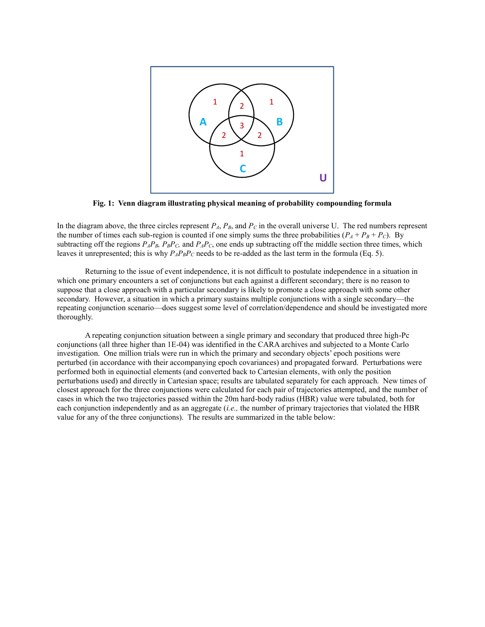

**Fig. 1: Venn diagram illustrating physical meaning of probability compounding formula**

In the diagram above, the three circles represent  $P_A$ ,  $P_B$ , and  $P_C$  in the overall universe U. The red numbers represent the number of times each sub-region is counted if one simply sums the three probabilities  $(P_A + P_B + P_C)$ . By subtracting off the regions  $P_A P_B$ ,  $P_B P_C$ , and  $P_A P_C$ , one ends up subtracting off the middle section three times, which leaves it unrepresented; this is why  $P_A P_B P_C$  needs to be re-added as the last term in the formula (Eq. 5).

Returning to the issue of event independence, it is not difficult to postulate independence in a situation in which one primary encounters a set of conjunctions but each against a different secondary; there is no reason to suppose that a close approach with a particular secondary is likely to promote a close approach with some other secondary. However, a situation in which a primary sustains multiple conjunctions with a single secondary—the repeating conjunction scenario—does suggest some level of correlation/dependence and should be investigated more thoroughly.

A repeating conjunction situation between a single primary and secondary that produced three high-Pc conjunctions (all three higher than 1E-04) was identified in the CARA archives and subjected to a Monte Carlo investigation. One million trials were run in which the primary and secondary objects' epoch positions were perturbed (in accordance with their accompanying epoch covariances) and propagated forward. Perturbations were performed both in equinoctial elements (and converted back to Cartesian elements, with only the position perturbations used) and directly in Cartesian space; results are tabulated separately for each approach. New times of closest approach for the three conjunctions were calculated for each pair of trajectories attempted, and the number of cases in which the two trajectories passed within the 20m hard-body radius (HBR) value were tabulated, both for each conjunction independently and as an aggregate (*i.e.,* the number of primary trajectories that violated the HBR value for any of the three conjunctions). The results are summarized in the table below: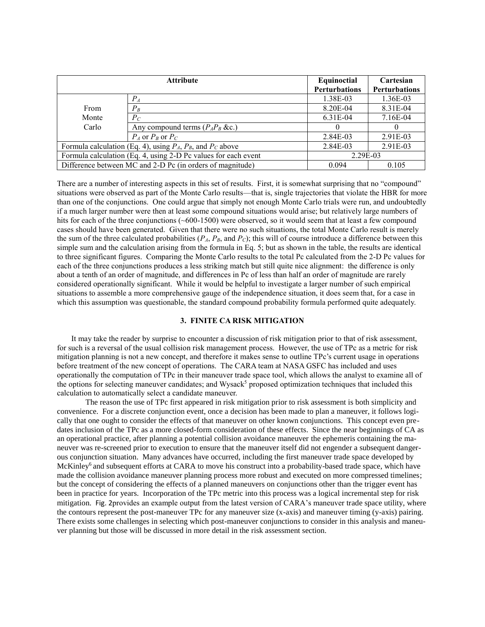| <b>Attribute</b>                                                   |                                     | Equinoctial   | Cartesian            |
|--------------------------------------------------------------------|-------------------------------------|---------------|----------------------|
|                                                                    |                                     | Perturbations | <b>Perturbations</b> |
|                                                                    | $P_{A}$                             | 1.38E-03      | 1.36E-03             |
| From                                                               | $P_B$                               | 8.20E-04      | 8.31E-04             |
| Monte                                                              | $P_C$                               | 6.31E-04      | 7.16E-04             |
| Carlo                                                              | Any compound terms $(P_A P_B \&c.)$ |               |                      |
|                                                                    | $P_A$ or $P_B$ or $P_C$             | 2.84E-03      | 2.91E-03             |
| Formula calculation (Eq. 4), using $P_A$ , $P_B$ , and $P_C$ above |                                     | 2.84E-03      | 2.91E-03             |
| Formula calculation (Eq. 4, using 2-D Pc values for each event     |                                     | 2.29E-03      |                      |
| Difference between MC and 2-D Pc (in orders of magnitude)          |                                     | 0.094         | 0.105                |

There are a number of interesting aspects in this set of results. First, it is somewhat surprising that no "compound" situations were observed as part of the Monte Carlo results—that is, single trajectories that violate the HBR for more than one of the conjunctions. One could argue that simply not enough Monte Carlo trials were run, and undoubtedly if a much larger number were then at least some compound situations would arise; but relatively large numbers of hits for each of the three conjunctions (~600-1500) were observed, so it would seem that at least a few compound cases should have been generated. Given that there were no such situations, the total Monte Carlo result is merely the sum of the three calculated probabilities  $(P_A, P_B,$  and  $P_C)$ ; this will of course introduce a difference between this simple sum and the calculation arising from the formula in Eq. 5; but as shown in the table, the results are identical to three significant figures. Comparing the Monte Carlo results to the total Pc calculated from the 2-D Pc values for each of the three conjunctions produces a less striking match but still quite nice alignment: the difference is only about a tenth of an order of magnitude, and differences in Pc of less than half an order of magnitude are rarely considered operationally significant. While it would be helpful to investigate a larger number of such empirical situations to assemble a more comprehensive gauge of the independence situation, it does seem that, for a case in which this assumption was questionable, the standard compound probability formula performed quite adequately.

## **3. FINITE CA RISK MITIGATION**

It may take the reader by surprise to encounter a discussion of risk mitigation prior to that of risk assessment, for such is a reversal of the usual collision risk management process. However, the use of TPc as a metric for risk mitigation planning is not a new concept, and therefore it makes sense to outline TPc's current usage in operations before treatment of the new concept of operations. The CARA team at NASA GSFC has included and uses operationally the computation of TPc in their maneuver trade space tool, which allows the analyst to examine all of the options for selecting maneuver candidates; and Wysack<sup>5</sup> proposed optimization techniques that included this calculation to automatically select a candidate maneuver.

The reason the use of TPc first appeared in risk mitigation prior to risk assessment is both simplicity and convenience. For a discrete conjunction event, once a decision has been made to plan a maneuver, it follows logically that one ought to consider the effects of that maneuver on other known conjunctions. This concept even predates inclusion of the TPc as a more closed-form consideration of these effects. Since the near beginnings of CA as an operational practice, after planning a potential collision avoidance maneuver the ephemeris containing the maneuver was re-screened prior to execution to ensure that the maneuver itself did not engender a subsequent dangerous conjunction situation. Many advances have occurred, including the first maneuver trade space developed by McKinley<sup>6</sup> and subsequent efforts at CARA to move his construct into a probability-based trade space, which have made the collision avoidance maneuver planning process more robust and executed on more compressed timelines; but the concept of considering the effects of a planned maneuvers on conjunctions other than the trigger event has been in practice for years. Incorporation of the TPc metric into this process was a logical incremental step for risk mitigation. [Fig.](#page-4-0) 2provides an example output from the latest version of CARA's maneuver trade space utility, where the contours represent the post-maneuver TPc for any maneuver size (x-axis) and maneuver timing (y-axis) pairing. There exists some challenges in selecting which post-maneuver conjunctions to consider in this analysis and maneuver planning but those will be discussed in more detail in the risk assessment section.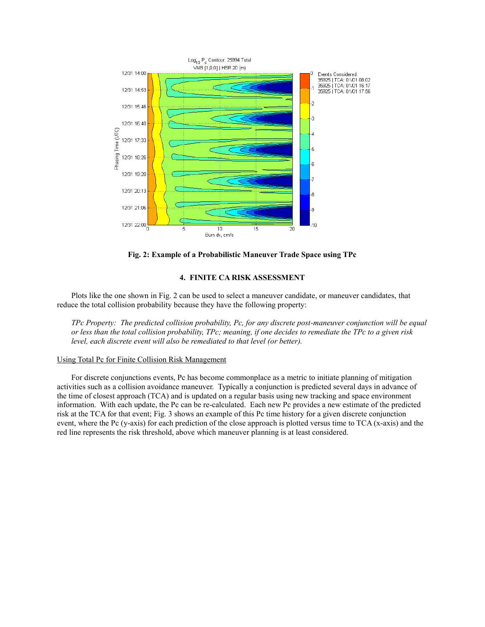

**Fig. 2: Example of a Probabilistic Maneuver Trade Space using TPc**

#### **4. FINITE CA RISK ASSESSMENT**

<span id="page-4-0"></span>Plots like the one shown in [Fig.](#page-4-0) 2 can be used to select a maneuver candidate, or maneuver candidates, that reduce the total collision probability because they have the following property:

*TPc Property: The predicted collision probability, Pc, for any discrete post-maneuver conjunction will be equal or less than the total collision probability, TPc; meaning, if one decides to remediate the TPc to a given risk level, each discrete event will also be remediated to that level (or better).*

#### Using Total Pc for Finite Collision Risk Management

For discrete conjunctions events, Pc has become commonplace as a metric to initiate planning of mitigation activities such as a collision avoidance maneuver. Typically a conjunction is predicted several days in advance of the time of closest approach (TCA) and is updated on a regular basis using new tracking and space environment information. With each update, the Pc can be re-calculated. Each new Pc provides a new estimate of the predicted risk at the TCA for that event; [Fig.](#page-5-0) 3 shows an example of this Pc time history for a given discrete conjunction event, where the Pc (y-axis) for each prediction of the close approach is plotted versus time to TCA (x-axis) and the red line represents the risk threshold, above which maneuver planning is at least considered.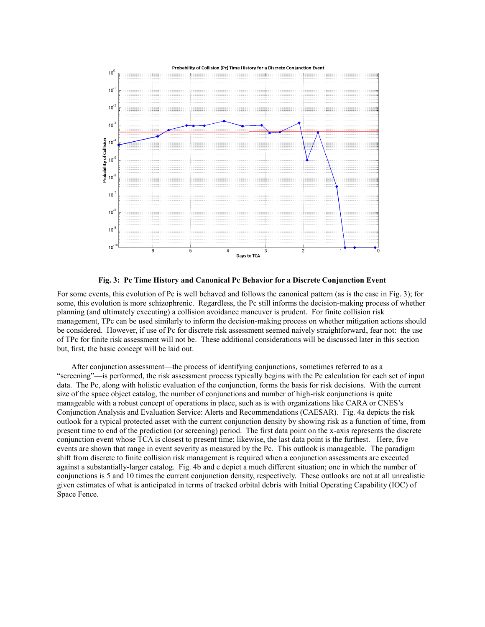

**Fig. 3: Pc Time History and Canonical Pc Behavior for a Discrete Conjunction Event**

<span id="page-5-0"></span>For some events, this evolution of Pc is well behaved and follows the canonical pattern (as is the case in [Fig.](#page-5-0) 3); for some, this evolution is more schizophrenic. Regardless, the Pc still informs the decision-making process of whether planning (and ultimately executing) a collision avoidance maneuver is prudent. For finite collision risk management, TPc can be used similarly to inform the decision-making process on whether mitigation actions should be considered. However, if use of Pc for discrete risk assessment seemed naively straightforward, fear not: the use of TPc for finite risk assessment will not be. These additional considerations will be discussed later in this section but, first, the basic concept will be laid out.

After conjunction assessment—the process of identifying conjunctions, sometimes referred to as a "screening"—is performed, the risk assessment process typically begins with the Pc calculation for each set of input data. The Pc, along with holistic evaluation of the conjunction, forms the basis for risk decisions. With the current size of the space object catalog, the number of conjunctions and number of high-risk conjunctions is quite manageable with a robust concept of operations in place, such as is with organizations like CARA or CNES's Conjunction Analysis and Evaluation Service: Alerts and Recommendations (CAESAR). [Fig.](#page-6-0) 4a depicts the risk outlook for a typical protected asset with the current conjunction density by showing risk as a function of time, from present time to end of the prediction (or screening) period. The first data point on the x-axis represents the discrete conjunction event whose TCA is closest to present time; likewise, the last data point is the furthest. Here, five events are shown that range in event severity as measured by the Pc. This outlook is manageable. The paradigm shift from discrete to finite collision risk management is required when a conjunction assessments are executed against a substantially-larger catalog. [Fig.](#page-6-0) 4b and c depict a much different situation; one in which the number of conjunctions is 5 and 10 times the current conjunction density, respectively. These outlooks are not at all unrealistic given estimates of what is anticipated in terms of tracked orbital debris with Initial Operating Capability (IOC) of Space Fence.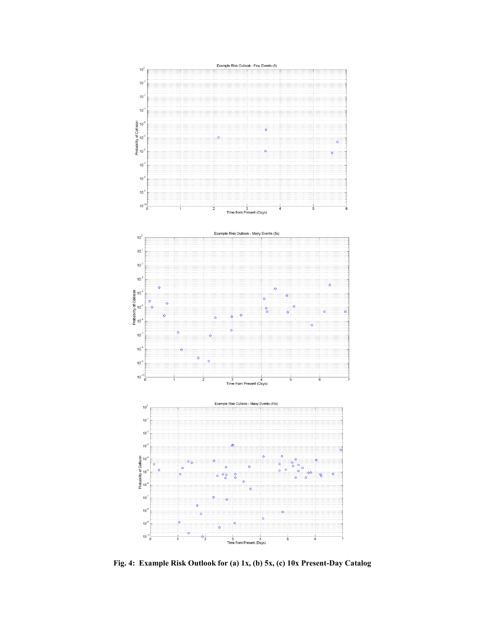

<span id="page-6-0"></span>**Fig. 4: Example Risk Outlook for (a) 1x, (b) 5x, (c) 10x Present-Day Catalog**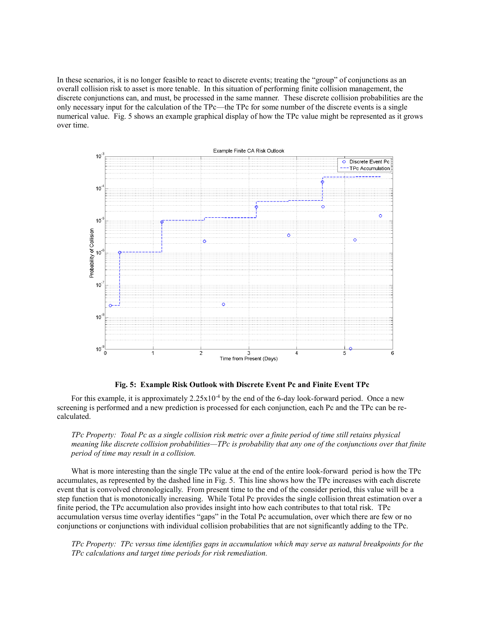In these scenarios, it is no longer feasible to react to discrete events; treating the "group" of conjunctions as an overall collision risk to asset is more tenable. In this situation of performing finite collision management, the discrete conjunctions can, and must, be processed in the same manner. These discrete collision probabilities are the only necessary input for the calculation of the TPc—the TPc for some number of the discrete events is a single numerical value. [Fig.](#page-7-0) 5 shows an example graphical display of how the TPc value might be represented as it grows over time.



#### **Fig. 5: Example Risk Outlook with Discrete Event Pc and Finite Event TPc**

<span id="page-7-0"></span>For this example, it is approximately  $2.25 \times 10^{-4}$  by the end of the 6-day look-forward period. Once a new screening is performed and a new prediction is processed for each conjunction, each Pc and the TPc can be recalculated.

*TPc Property: Total Pc as a single collision risk metric over a finite period of time still retains physical meaning like discrete collision probabilities—TPc is probability that any one of the conjunctions over that finite period of time may result in a collision.*

What is more interesting than the single TPc value at the end of the entire look-forward period is how the TPc accumulates, as represented by the dashed line in [Fig.](#page-7-0) 5. This line shows how the TPc increases with each discrete event that is convolved chronologically. From present time to the end of the consider period, this value will be a step function that is monotonically increasing. While Total Pc provides the single collision threat estimation over a finite period, the TPc accumulation also provides insight into how each contributes to that total risk. TPc accumulation versus time overlay identifies "gaps" in the Total Pc accumulation, over which there are few or no conjunctions or conjunctions with individual collision probabilities that are not significantly adding to the TPc.

*TPc Property: TPc versus time identifies gaps in accumulation which may serve as natural breakpoints for the TPc calculations and target time periods for risk remediation.*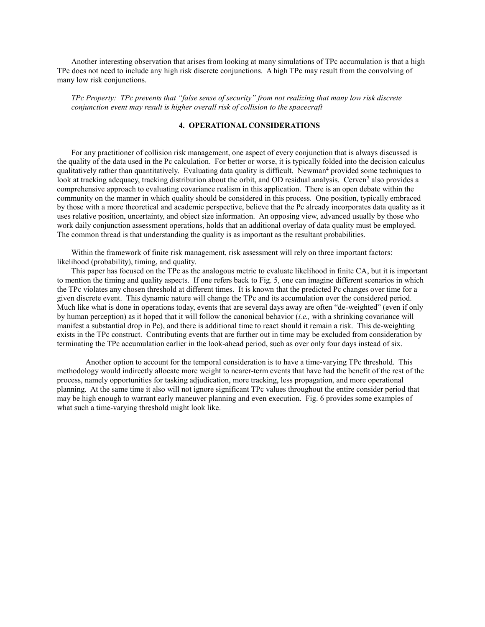Another interesting observation that arises from looking at many simulations of TPc accumulation is that a high TPc does not need to include any high risk discrete conjunctions. A high TPc may result from the convolving of many low risk conjunctions.

*TPc Property: TPc prevents that "false sense of security" from not realizing that many low risk discrete conjunction event may result is higher overall risk of collision to the spacecraft*

## **4. OPERATIONAL CONSIDERATIONS**

For any practitioner of collision risk management, one aspect of every conjunction that is always discussed is the quality of the data used in the Pc calculation. For better or worse, it is typically folded into the decision calculus qualitatively rather than quantitatively. Evaluating data quality is difficult. Newman<sup>4</sup> provided some techniques to look at tracking adequacy, tracking distribution about the orbit, and OD residual analysis. Cerven<sup>7</sup> also provides a comprehensive approach to evaluating covariance realism in this application. There is an open debate within the community on the manner in which quality should be considered in this process. One position, typically embraced by those with a more theoretical and academic perspective, believe that the Pc already incorporates data quality as it uses relative position, uncertainty, and object size information. An opposing view, advanced usually by those who work daily conjunction assessment operations, holds that an additional overlay of data quality must be employed. The common thread is that understanding the quality is as important as the resultant probabilities.

Within the framework of finite risk management, risk assessment will rely on three important factors: likelihood (probability), timing, and quality.

This paper has focused on the TPc as the analogous metric to evaluate likelihood in finite CA, but it is important to mention the timing and quality aspects. If one refers back to [Fig.](#page-7-0) 5, one can imagine different scenarios in which the TPc violates any chosen threshold at different times. It is known that the predicted Pc changes over time for a given discrete event. This dynamic nature will change the TPc and its accumulation over the considered period. Much like what is done in operations today, events that are several days away are often "de-weighted" (even if only by human perception) as it hoped that it will follow the canonical behavior (*i.e.,* with a shrinking covariance will manifest a substantial drop in Pc), and there is additional time to react should it remain a risk. This de-weighting exists in the TPc construct. Contributing events that are further out in time may be excluded from consideration by terminating the TPc accumulation earlier in the look-ahead period, such as over only four days instead of six.

Another option to account for the temporal consideration is to have a time-varying TPc threshold. This methodology would indirectly allocate more weight to nearer-term events that have had the benefit of the rest of the process, namely opportunities for tasking adjudication, more tracking, less propagation, and more operational planning. At the same time it also will not ignore significant TPc values throughout the entire consider period that may be high enough to warrant early maneuver planning and even execution. [Fig.](#page-9-0) 6 provides some examples of what such a time-varying threshold might look like.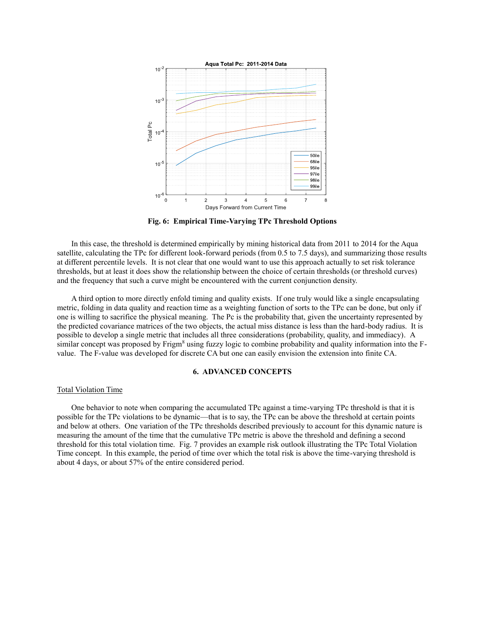

**Fig. 6: Empirical Time-Varying TPc Threshold Options**

<span id="page-9-0"></span>In this case, the threshold is determined empirically by mining historical data from 2011 to 2014 for the Aqua satellite, calculating the TPc for different look-forward periods (from 0.5 to 7.5 days), and summarizing those results at different percentile levels. It is not clear that one would want to use this approach actually to set risk tolerance thresholds, but at least it does show the relationship between the choice of certain thresholds (or threshold curves) and the frequency that such a curve might be encountered with the current conjunction density.

A third option to more directly enfold timing and quality exists. If one truly would like a single encapsulating metric, folding in data quality and reaction time as a weighting function of sorts to the TPc can be done, but only if one is willing to sacrifice the physical meaning. The Pc is the probability that, given the uncertainty represented by the predicted covariance matrices of the two objects, the actual miss distance is less than the hard-body radius. It is possible to develop a single metric that includes all three considerations (probability, quality, and immediacy). A similar concept was proposed by Frigm<sup>8</sup> using fuzzy logic to combine probability and quality information into the Fvalue. The F-value was developed for discrete CA but one can easily envision the extension into finite CA.

#### **6. ADVANCED CONCEPTS**

#### Total Violation Time

One behavior to note when comparing the accumulated TPc against a time-varying TPc threshold is that it is possible for the TPc violations to be dynamic—that is to say, the TPc can be above the threshold at certain points and below at others. One variation of the TPc thresholds described previously to account for this dynamic nature is measuring the amount of the time that the cumulative TPc metric is above the threshold and defining a second threshold for this total violation time. [Fig. 7](#page-10-0) provides an example risk outlook illustrating the TPc Total Violation Time concept. In this example, the period of time over which the total risk is above the time-varying threshold is about 4 days, or about 57% of the entire considered period.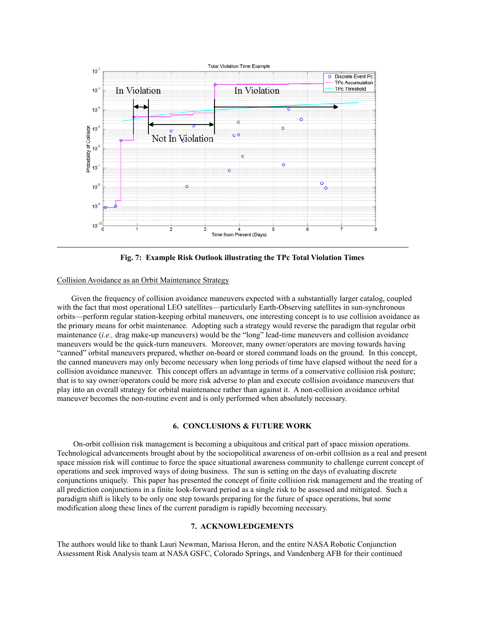

**Fig. 7: Example Risk Outlook illustrating the TPc Total Violation Times**

#### <span id="page-10-0"></span>Collision Avoidance as an Orbit Maintenance Strategy

Given the frequency of collision avoidance maneuvers expected with a substantially larger catalog, coupled with the fact that most operational LEO satellites—particularly Earth-Observing satellites in sun-synchronous orbits—perform regular station-keeping orbital maneuvers, one interesting concept is to use collision avoidance as the primary means for orbit maintenance. Adopting such a strategy would reverse the paradigm that regular orbit maintenance (*i.e.,* drag make-up maneuvers) would be the "long" lead-time maneuvers and collision avoidance maneuvers would be the quick-turn maneuvers. Moreover, many owner/operators are moving towards having "canned" orbital maneuvers prepared, whether on-board or stored command loads on the ground. In this concept, the canned maneuvers may only become necessary when long periods of time have elapsed without the need for a collision avoidance maneuver. This concept offers an advantage in terms of a conservative collision risk posture; that is to say owner/operators could be more risk adverse to plan and execute collision avoidance maneuvers that play into an overall strategy for orbital maintenance rather than against it. A non-collision avoidance orbital maneuver becomes the non-routine event and is only performed when absolutely necessary.

#### **6. CONCLUSIONS & FUTURE WORK**

 On-orbit collision risk management is becoming a ubiquitous and critical part of space mission operations. Technological advancements brought about by the sociopolitical awareness of on-orbit collision as a real and present space mission risk will continue to force the space situational awareness community to challenge current concept of operations and seek improved ways of doing business. The sun is setting on the days of evaluating discrete conjunctions uniquely. This paper has presented the concept of finite collision risk management and the treating of all prediction conjunctions in a finite look-forward period as a single risk to be assessed and mitigated. Such a paradigm shift is likely to be only one step towards preparing for the future of space operations, but some modification along these lines of the current paradigm is rapidly becoming necessary.

## **7. ACKNOWLEDGEMENTS**

The authors would like to thank Lauri Newman, Marissa Heron, and the entire NASA Robotic Conjunction Assessment Risk Analysis team at NASA GSFC, Colorado Springs, and Vandenberg AFB for their continued